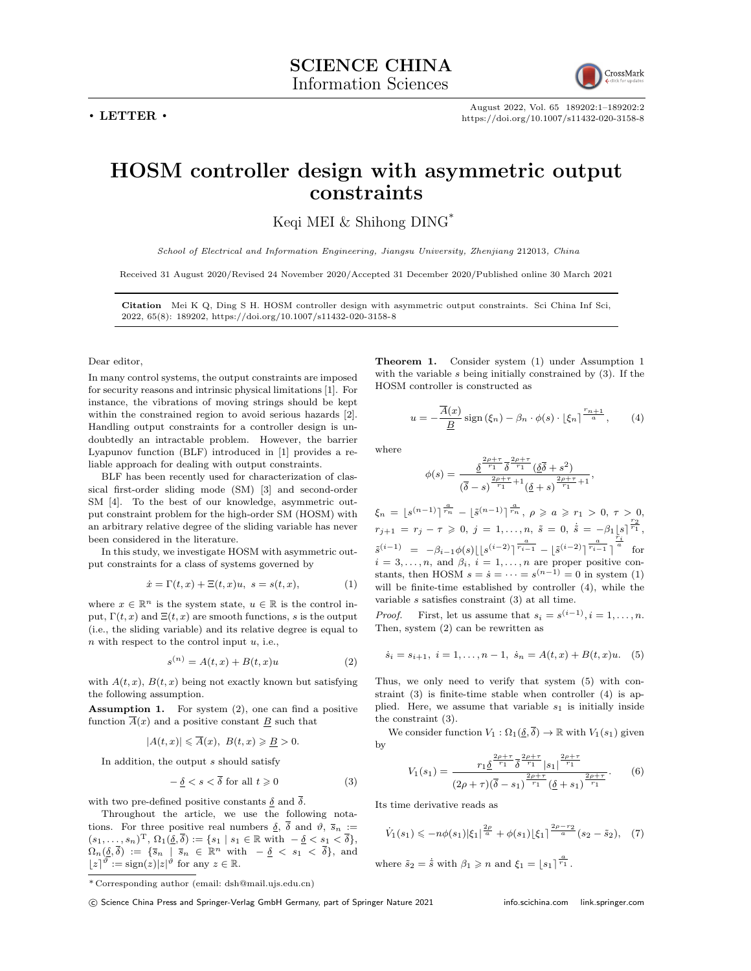**. LETTER .**



August 2022, Vol. 65 189202:1–189202:2 https://doi.org/10.1007/s11432-020-3158-8

## **HOSM controller design with asymmetric output constraints**

Keqi MEI  $&$  Shihong DING<sup>\*</sup>

*School of Electrical and Information Engineering, Jiangsu University, Zhenjiang* 212013*, China*

Received 31 August 2020/Revised 24 November 2020/Accepted 31 December 2020/Published online 30 March 2021

**Citation** Mei K Q, Ding S H. HOSM controller design with asymmetric output constraints. Sci China Inf Sci, 2022, 65(8): 189202, https://doi.org/10.1007/s11432-020-3158-8

## Dear editor,

In many control systems, the output constraints are imposed for security reasons and intrinsic physical limitations [1]. For instance, the vibrations of moving strings should be kept within the constrained region to avoid serious hazards [2]. Handling output constraints for a controller design is undoubtedly an intractable problem. However, the barrier Lyapunov function (BLF) introduced in [1] provides a reliable approach for dealing with output constraints.

BLF has been recently used for characterization of classical first-order sliding mode (SM) [3] and second-order SM [4]. To the best of our knowledge, asymmetric output constraint problem for the high-order SM (HOSM) with an arbitrary relative degree of the sliding variable has never been considered in the literature.

In this study, we investigate HOSM with asymmetric output constraints for a class of systems governed by

$$
\dot{x} = \Gamma(t, x) + \Xi(t, x)u, \ s = s(t, x), \tag{1}
$$

where  $x \in \mathbb{R}^n$  is the system state,  $u \in \mathbb{R}$  is the control input,  $\Gamma(t, x)$  and  $\Xi(t, x)$  are smooth functions, *s* is the output (i.e., the sliding variable) and its relative degree is equal to *n* with respect to the control input *u*, i.e.,

$$
s^{(n)} = A(t, x) + B(t, x)u \tag{2}
$$

with  $A(t, x)$ ,  $B(t, x)$  being not exactly known but satisfying the following assumption.

**Assumption 1.** For system (2), one can find a positive function  $\overline{A}(x)$  and a positive constant <u>B</u> such that

$$
|A(t,x)| \leq \overline{A}(x), B(t,x) \geq \underline{B} > 0.
$$

In addition, the output *s* should satisfy

$$
-\underline{\delta} < s < \overline{\delta} \text{ for all } t \geqslant 0 \tag{3}
$$

with two pre-defined positive constants  $\delta$  and  $\overline{\delta}$ .

Throughout the article, we use the following notations. For three positive real numbers  $\delta$ ,  $\overline{\delta}$  and  $\vartheta$ ,  $\overline{s}_n$  :=  $(s_1, \ldots, s_n)$ <sup>T</sup>,  $\Omega_1(\underline{\delta}, \overline{\delta}) := \{s_1 \mid s_1 \in \mathbb{R} \text{ with } -\underline{\delta} < s_1 < \overline{\delta}\},\$  $\Omega_n(\underline{\delta}, \overline{\delta}) := \{\overline{s}_n \mid \overline{s}_n \in \mathbb{R}^n \text{ with } -\underline{\delta} \leq s_1 \leq \overline{\delta}\},\text{ and}$  $\lfloor z \rfloor^{\vartheta} := \text{sign}(z)|z|^{\vartheta}$  for any  $z \in \mathbb{R}$ .

**Theorem 1.** Consider system (1) under Assumption 1 with the variable *s* being initially constrained by (3). If the HOSM controller is constructed as

$$
u = -\frac{\overline{A}(x)}{\underline{B}} \operatorname{sign}(\xi_n) - \beta_n \cdot \phi(s) \cdot \left[\xi_n\right]^{\frac{r_{n+1}}{a}}, \qquad (4)
$$

where

$$
\phi(s) = \frac{\frac{\delta^{2\rho + \tau}}{\delta^{r_1}} \frac{\delta^{2\rho + \tau}}{\delta^{r_1}} \left(\frac{\delta}{\delta} + s^2\right)}{\left(\frac{\delta}{\delta} - s\right)^{\frac{2\rho + \tau}{r_1} + 1} \left(\frac{\delta}{\delta} + s\right)^{\frac{2\rho + \tau}{r_1} + 1}},
$$

 $\xi_n = [s^{(n-1)}]^{\frac{a}{r_n}} - [\tilde{s}^{(n-1)}]^{\frac{a}{r_n}}, \ \rho \geqslant a \geqslant r_1 > 0, \ \tau > 0,$  $r_{j+1} = r_j - \tau \geq 0, j = 1, \ldots, n, \tilde{s} = 0, \tilde{s} = -\beta_1 \lfloor s \rfloor^{\frac{r_2}{r_1}},$  $\tilde{s}^{(i-1)}\enskip = \enskip -\beta_{i-1}\phi(s)\lfloor\lfloor s^{(i-2)}\rceil^{\frac{a}{r_{i-1}}}-\lfloor \tilde{s}^{(i-2)}\rceil^{\frac{a}{r_{i-1}}}\rceil$  $\frac{\bar{r}_i}{a}$  for  $i = 3, \ldots, n$ , and  $\beta_i$ ,  $i = 1, \ldots, n$  are proper positive constants, then HOSM  $s = \dot{s} = \cdots = s^{(n-1)} = 0$  in system (1) will be finite-time established by controller (4), while the variable *s* satisfies constraint (3) at all time.

*Proof.* First, let us assume that  $s_i = s^{(i-1)}$ ,  $i = 1, \ldots, n$ . Then, system (2) can be rewritten as

$$
\dot{s}_i = s_{i+1}, \ i = 1, \dots, n-1, \ \dot{s}_n = A(t, x) + B(t, x)u. \tag{5}
$$

Thus, we only need to verify that system (5) with constraint (3) is finite-time stable when controller (4) is applied. Here, we assume that variable  $s_1$  is initially inside the constraint (3).

We consider function  $V_1 : \Omega_1(\underline{\delta}, \overline{\delta}) \to \mathbb{R}$  with  $V_1(s_1)$  given by

$$
V_1(s_1) = \frac{r_1 \underline{\delta}^{\frac{2\rho + \tau}{r_1}} \overline{\delta}^{\frac{2\rho + \tau}{r_1}} |s_1|^{\frac{2\rho + \tau}{r_1}}}{(2\rho + \tau)(\overline{\delta} - s_1)^{\frac{2\rho + \tau}{r_1}} (\underline{\delta} + s_1)^{\frac{2\rho + \tau}{r_1}}}. \tag{6}
$$

Its time derivative reads as

$$
\dot{V}_1(s_1) \leqslant -n\phi(s_1)|\xi_1|^{\frac{2\rho}{a}} + \phi(s_1)|\xi_1|^{\frac{2\rho - r_2}{a}}(s_2 - \tilde{s}_2), \quad (7)
$$

where  $\tilde{s}_2 = \dot{\tilde{s}}$  with  $\beta_1 \geqslant n$  and  $\xi_1 = \lfloor s_1 \rfloor^{\frac{a}{r_1}}$ .

<sup>\*</sup> Corresponding author (email: dsh@mail.ujs.edu.cn)

*<sup>⃝</sup>*c Science China Press and Springer-Verlag GmbH Germany, part of Springer Nature 2021 info.scichina.com link.springer.com